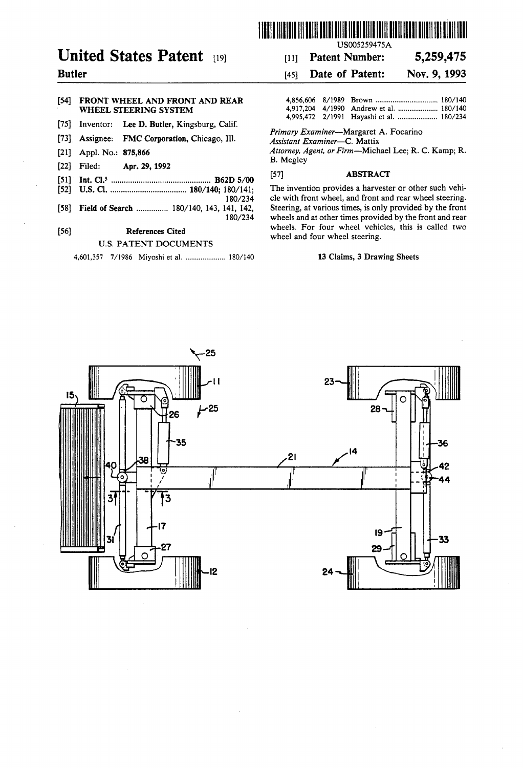

# United States Patent [19] [11] Patent Number: 5,259,475

### [54] FRONT WHEEL AND FRONT AND REAR WHEEL STEERING SYSTEM

- [75] Inventor: Lee D. Butler, Kingsburg, Calif.
- [73] Assignee: FMC Corporation, Chicago, Ill.
- 
- 
- [51] Int. Cl.5 ............................................. .. B62D 5/00 [57] ABSTRACT
- [52] US. Cl. .................................. .. 180/140; 180/141; The invention Provides a harvester 01' other Such Vehi
- 

### U.S. PATENT DOCUMENTS

4,601,357 7/1986 Miyoshi et a1. ................... .. 180/140 13 Claims, 3 Drawing Sheets

## Butler [45] Date of Patent: Nov. 9, 1993

|  | 4,995,472 2/1991 Hayashi et al.  180/234 |  |
|--|------------------------------------------|--|

Primary Examiner-Margaret A. Focarino<br>Assistant Examiner-C. Mattix

[21] Appl. No.: 875,866  $\mu$ <br>
[22] Filed: Apr. 29, 1992 B. Megley [57] ABSTRACT [51] **ADSTRACT** 

180/234 cle with front wheel, and front and rear wheel steering. ['58] Field of Search ............. .. 180/140, 143, 141, 142, Steering, at various times, is only provided by the front wheels and at other times provided by the front and rear [56] References Cited . wheels. For four wheel vehicles, this is called two wheel steering.

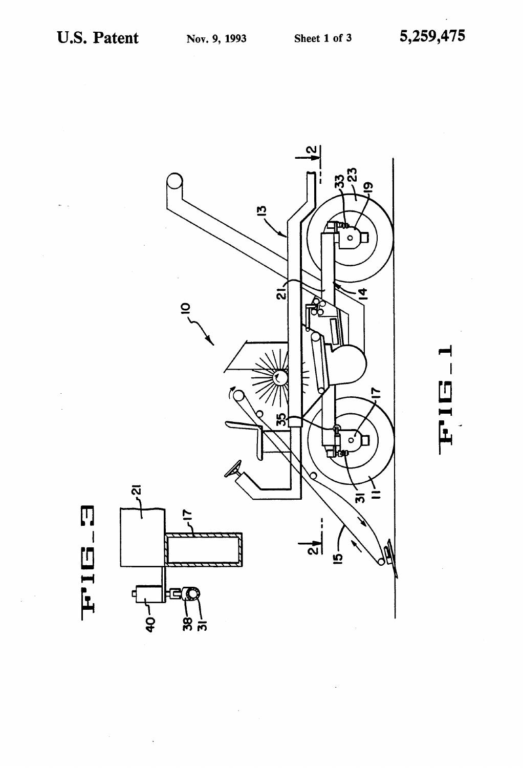

FIEI-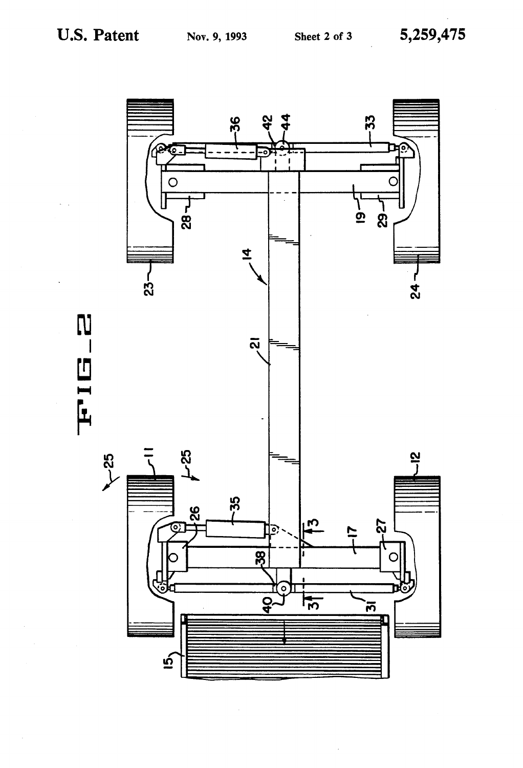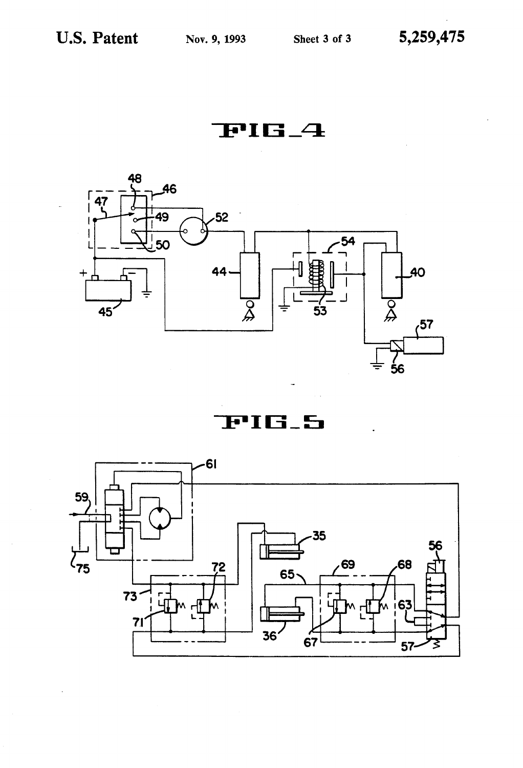FIG\_4



PIG<sub>-</sub>5

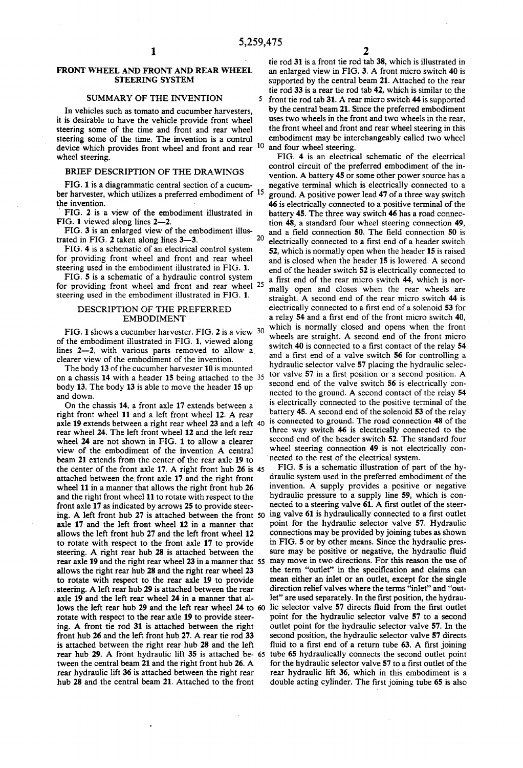5

20

### FRONT WHEEL AND FRONT AND REAR WHEEL STEERING SYSTEM

### SUMMARY OF THE INVENTION

In vehicles such as tomato and cucumber harvesters, it is desirable to have the vehicle provide front wheel steering some of the time and front and rear wheel steering some of the time. The invention is a control device which provides front wheel and front and rear <sup>10</sup> and four wheel steering. wheel steering.

### BRIEF DESCRIPTION OF THE DRAWINGS

FIG. 1 is a diagrammatic central section of a cucum ber harvester, which utilizes a preferred embodiment of  $15$ <br>the invention.

' FIG. 2 is a view of the embodiment illustrated in FIG. 1 viewed along lines 2—2.

FIG. 3 is an enlarged view of the embodiment illus trated in FIG.  $2$  taken along lines  $3-3$ .

FIG. 4 is a schematic of an electrical control system for providing front wheel and front and rear wheel steering used in the embodiment illustrated in FIG. 1.

FIG. 5 is a schematic of a hydraulic control system for providing front wheel and front and rear wheel <sup>25</sup> steering used in the embodiment illustrated in FIG. 1.

### DESCRIPTION OF THE PREFERRED EMBODIMENT

FIG. 1 shows a cucumber harvester. FIG. 2 is a view 30 of the embodiment illustrated in FIG. 1, viewed along lines 2-2, with various parts removed to allow a. clearer view of the embodiment of the invention.

The body 13 of the cucumber harvester 10 is mounted on a chassis 14 with a header 15 being attached to the body 13. The body 13 is able to move the header 15 up and down.

On the chassis 14, a front axle 17 extends between a right front wheel 11 and a left front wheel 12. A rear axle 19 extends between a right rear wheel 23 and a left 40 rear wheel 24. The left front wheel 12 and the left rear wheel 24 are not shown in FIG. 1 to allow a clearer view of the embodiment of the invention A central beam 21 extends from the center of the rear axle 19 to the center of the front axle 17. A right front hub 26 is 45 attached between the front axle 17 and the right front wheel 11 in a manner that allows the right front hub 26 and the right front wheel 11 to rotate with respect to the front axle 17 as indicated by arrows 25 to provide steer ing. A left front hub 27 is attached between the front axle 17 and the left front wheel 12 in a manner that allows the left front hub 27 and the left front wheel 12 to rotate with respect to the front axle 17 to provide steering. A right rear hub 28 is attached between the rear axle 19 and the right rear wheel 23 in a manner that 55 allows the right rear hub 28 and the right rear wheel 23 to rotate with respect to the rear axle 19 to provide steering. A left rear hub 29 is attached between the rear axle 19 and the left rear wheel 24 in a manner that al lows the left rear hub 29 and the left rear wheel 24 to 60 rotate with respect to the rear axle 19 to provide steer ing. A front tie rod 31 is attached between the right front hub 26 and the left front hub 27. A rear tie rod 33 is attached between the right rear hub 28 and the left rear hub 29. A front hydraulic lift 35 is attached be- 65 tween the central beam 21 and the right front hub 26. A rear hydraulic lift 36 is attached between the right rear hub 28 and the central beam 21. Attached to the front

tie rod 31 is a front tie rod tab 38, which is illustrated in an enlarged view in FIG. 3. A front micro switch 40 is supported by the central beam 21. Attached to the rear tie rod 33 is a rear tie rod tab 42, which is similar to the front tie rod tab 31. A rear micro switch 44 is supported by the central beam 21. Since the preferred embodiment uses two wheels in the front and two wheels in the rear, the front wheel and front and rear wheel steering in this embodiment may be interchangeably called two wheel

FIG. 4 is an electrical schematic of the electrical control circuit of the preferred embodiment of the in vention. A battery 45 or some other power source has a negative terminal which is electrically connected to a ground. A positive power lead 47 of a three way switch 46 is electrically connected to a positive terminal of the battery 45. The three way switch 46 has a road connec tion 48, a standard four wheel steering connection 49, and a field connection 50. The field connection 50 is electrically connected to a first end of a header switch 52, which is normally open when the header 15 is raised and is closed when the header 15 is lowered. A second end of the header switch 52 is electrically connected to a first end of the rear micro switch 44, which is normally open and closes when the rear wheels are straight. A second end of the rear micro switch 44 is electrically connected to a first end of a solenoid 53 for a relay 54 and a first end of the front micro switch 40, which is normally closed and opens when the front wheels are straight. A second end of the front micro switch 40 is connected to a first contact of the relay 54 and a first end of a valve switch 56 for controlling a hydraulic selector valve 57 placing the hydraulic selec tor valve  $57$  in a first position or a second position. A second end of the valve switch 56 is electrically con nected to the ground. A second contact of the relay 54 is electrically connected to the positive terminal of the battery 45. A second end of the solenoid 53 of the relay is connected to ground. The road connection 48 of the three way switch 46 is electrically connected to the second end of the header switch 52. The standard four wheel steering connection 49 is not electrically con-'nected to the rest of the electrical system.

FIG. 5 is a schematic illustration of part of the hy draulic system used in the preferred embodiment of the invention. A supply provides a positive or negative hydraulic pressure to a supply line 59, which is connected to a steering valve 61. A first outlet of the steering valve 61 is hydraulically connected to a first outlet point for the hydraulic selector valve 57. Hydraulic connections may be provided by joining tubes as shown in FIG. 5 or by other means. Since the hydraulic pres sure may be positive or negative, the hydraulic fluid may move in two directions. For this reason the use of the term "outlet" in the specification and claims can mean either an inlet or an outlet, except for the single direction relief valves where the terms "inlet" and "out let" are used separately. In the first position, the hydraulic selector valve 57 directs fluid from the first outlet point for the hydraulic selector valve 57 to a second outlet point for the hydraulic selector valve 57. In the second position, the hydraulic selector valve 57 directs fluid to a first end of a return tube 63. A first joining tube 65 hydraulically connects the second outlet point for the hydraulic selector valve 57 to a first outlet of the rear hydraulic lift 36, which in this embodiment is a double acting cylinder. The first joining tube 65 is also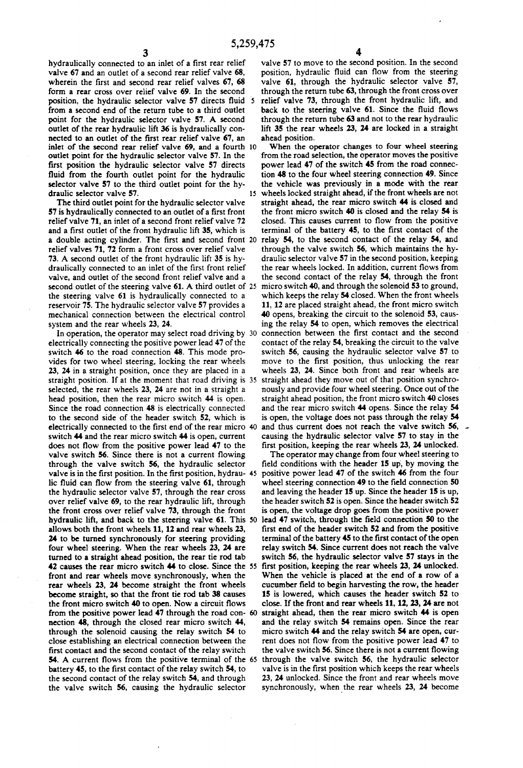hydraulically connected to an inlet of a first rear relief valve 67 and an outlet of a second rear relief valve 68, wherein the first and second rear relief valves 67, 68 form a rear cross over relief valve 69. In the second position, the hydraulic selector valve 57 directs fluid 5 from a second end of the return tube to a third outlet point for the hydraulic selector valve 57. A second outlet of the rear hydraulic lift 36 is hydraulically con nected to an outlet of the first rear relief valve 67, an inlet of the second rear relief valve 69, and a fourth 10 outlet point for the hydraulic selector valve 57. In the first position the hydraulic selector valve 57 directs fluid from the fourth outlet point for the hydraulic selector valve 57 to the third outlet point for the hy draulic selector valve 57.

The third outlet point for the hydraulic selector valve 57 is hydraulically connected to an outlet of a first front relief valve 71, an inlet of a second front relief valve 72 and a first outlet of the front hydraulic lift 35, which is a double acting cylinder. The first and second front 20 relay 54, to the second contact of the relay 54, and relief valves 71, 72 form a front cross over relief valve 73. A second outlet of the front hydraulic lift 35 is hy draulically connected to an inlet of the first front relief valve, and outlet of the second front relief valve and a second outlet of the steering valve 61. A third outlet of 25 micro switch 40, and through the solenoid 53 to ground, the steering valve 61 is hydraulically connected to a reservoir 75. The hydraulic selector valve 57 provides a mechanical connection between the electrical control system and the rear wheels 23, 24.

electrically connecting the positive power lead 47 of the switch 46 to the road connection 48. This mode pro vides for two wheel steering, locking the rear wheels 23, 24 in a straight position, once they are placed in a straight position. If at the moment that road driving is 35 selected, the rear wheels 23, 24 are not in a straight a head position, then the rear micro switch 44 is open. Since the road connection 48 is electrically connected to the second side of the header switch 52, which is electrically connected to the first end of the rear micro 40 switch 44 and the rear micro switch 44 is open, current does not flow from the positive power lead 47 to the valve switch 56. Since there is not a current flowing through the valve switch 56, the hydraulic selector valve is in the first position. In the first position, hydrau-45 lic fluid can flow from the steering valve 61, through the hydraulic selector valve 57, through the rear cross over relief valve 69, to the rear hydraulic lift, through the front cross over relief valve 73, through the front hydraulic lift, and back to the steering valve 61. This 50 lead 47 switch, through the field connection 50 to the allows both the front wheels 11, 12 and rear wheels 23, 24 to be turned synchronously for steering providing four wheel steering. When the rear wheels 23, 24 are turned to a straight ahead position, the rear tie rod tab 42 causes the rear micro switch 44 to close. Since the 55 first position, keeping the rear wheels 23, 24 unlocked. front and rear wheels move synchronously, when the rear wheels 23, 24 become straight the front wheels become straight, so that the front tie rod tab 38 causes the front micro switch 40 to open. Now a circuit flows from the positive power lead 47 through the road con- 60 straight ahead, then the rear micro switch 44 is open nection 48, through the closed rear micro switch 44, through the solenoid causing the relay switch 54 to close establishing an electrical connection between the first contact and the second contact of the relay switch 54. A current flows from the positive terminal of the 65 through the valve switch 56, the hydraulic selector battery 45, to the first contact of the relay switch 54, to the second contact of the relay switch 54, and through the valve switch 56, causing the hydraulic selector

valve 57 to move to the second position. In the second position, hydraulic fluid can flow from the steering valve 61, through the hydraulic selector valve 57, through the return tube 63, through the front cross over relief valve 73, through the front hydraulic lift, and back to the steering valve 61. Since the fluid flows through the return tube 63 and not to the rear hydraulic lift 35 the rear wheels 23, 24 are locked in a straight ahead position.

In operation, the operator may select road driving by 30 connection between the first contact and the second When the operator changes to four wheel steering from the road selection, the operator moves the positive power lead 47 of the switch 45 from the road connec tion 48 to the four wheel steering connection 49. Since the vehicle was previously in a mode with the rear wheels locked straight ahead, if the front wheels are not straight ahead, the rear micro switch 44 is closed and the front micro switch 40 is closed and the relay 54 is closed. This causes current to flow from the positive terminal of the battery 45, to the first contact of the through the valve switch 56, which maintains the hy draulic selector valve 57 in the second position, keeping the rear wheels locked. In addition, current flows from the second contact of the relay 54, through the front which keeps the relay 54 closed. When the front wheels 11, 12 are placed straight ahead, the front micro switch 40 opens, breaking the circuit to the solenoid 53, caus ing the relay 54 to open, which removes the electrical contact of the relay 54, breaking the circuit to the valve switch 56, causing the hydraulic selector valve 57 to move to the first position, thus unlocking the rear wheels 23, 24. Since both front and rear wheels are straight ahead they move out of that position synchro nously and provide four wheel steering. Once out of the straight ahead position, the front micro switch 40 closes and the rear micro switch 44 opens. Since the relay 54 is open, the voltage does not pass through the relay 54 and thus current does not reach the valve switch 56, causing the hydraulic selector valve 57 to stay in the first position, keeping the rear wheels 23, 24 unlocked.

The operator may change from four wheel steering to field conditions with the header 15 up, by moving the positive power lead 47 of the switch 46 from the four wheel steering connection 49 to the field connection 50 and leaving the header 15 up. Since the header 15 is up, the header switch 52 is open. Since the header switch 52 is open, the voltage drop goes from the positive power first end of the header switch 52 and from the positive terminal of the battery 45 to the first contact of the open relay switch 54. Since current does not reach the valve switch 56, the hydraulic selector valve 57 stays in the When the vehicle is placed at the end of a row of a cucumber field to begin harvesting the row, the header 15 is lowered, which causes the header switch 52 to close. If the front and rear wheels 11, 12, 23, 24 are not and the relay switch 54 remains open. Since the rear micro switch 44 and the relay switch 54 are open, cur rent does not flow from the positive power lead 47 to the valve switch 56. Since there is not a current flowing valve is in the first position which keeps the rear wheels 23, 24 unlocked. Since the front and rear wheels move synchronously, when the rear wheels 23, 24 become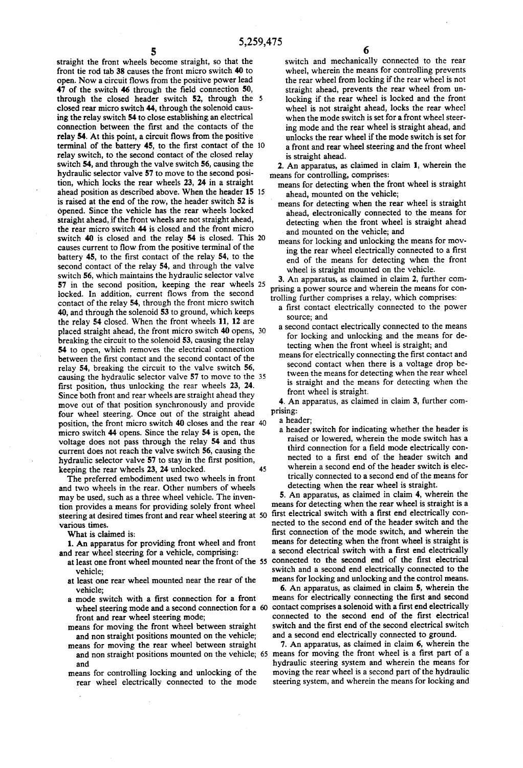straight the front wheels become straight, so that the front tie rod tab 38 causes the front micro switch 40 to open. Now a circuit flows from the positive power lead  $47$  of the switch  $46$  through the field connection  $50$ , through the closed header switch 52, through the 5 closed rear micro switch 44, through the solenoid caus ing the relay switch 54 to close establishing an electrical connection between the first and the contacts of the relay 54. At this point, a circuit flows from the positive terminal of the battery 45, to the first contact of the 10 relay switch, to the second contact of the closed relay switch 54, and through the valve switch 56, causing the hydraulic selector valve 57 to move to the second posi tion, which locks the rear wheels 23, 24 in a straight ahead position as described above. When the header 15 15 is raised at the end of the row, the header switch 52 is opened. Since the vehicle has the rear wheels locked straight ahead, if the front wheels are not straight ahead, the rear micro switch 44 is closed and the front micro causes current to flow from the positive terminal of the battery 45, to the first contact of the relay 54, to the second contact of the relay 54, and through the valve switch 56, which maintains the hydraulic selector valve 57 in the second position, keeping the rear wheels 25 locked. In addition, current flows from the second contact of the relay 54, through the front micro switch 40, and through the solenoid 53 to ground, which keeps the relay 54 closed. When the front wheels 11, 12 are placed straight ahead, the front micro switch 40 opens, 30 breaking the circuit to the solenoid 53, causing the relay 54 to open, which removes the electrical connection between the first contact and the second contact of the relay 54, breaking the circuit to the valve switch 56, causing the hydraulic selector valve 57 to move to the 35 first position, thus unlocking the rear wheels 23, 24. Since both front and rear wheels are straight ahead they move out of that position synchronously and provide four wheel steering. Once out of the straight ahead position, the front micro switch 40 closes and the rear micro switch 44 opens. Since the relay 54 is open, the voltage does not pass through the relay 54 and thus current does not reach the valve switch 56, causing the hydraulic selector valve 57 to stay in the first position, keeping the rear wheels 23, 24 unlocked. switch 40 is closed and the relay 54 is closed. This 20

The preferred embodiment used two wheels in front and two wheels in the rear. Other numbers of wheels may be used, such as a three wheel vehicle. The inven tion provides a means for providing solely front wheel steering at desired times front and rear wheel steering at 50 various times.

What is claimed is:

1. An apparatus for providing front wheel and front and rear wheel steering for a vehicle, comprising:

- at least one front wheel mounted near the front of the 55 vehicle;
- at least one rear wheel mounted near the rear of the
- vehicle;<br>a mode switch with a first connection for a front front and rear wheel steering mode;
- means for moving the front wheel between straight<br>and non straight positions mounted on the vehicle;
- means for moving the rear wheel between straight
- and<br>means for controlling locking and unlocking of the rear wheel electrically connected to the mode

switch and mechanically connected to the rear wheel, wherein the means for controlling prevents the rear wheel from locking if the rear wheel is not straight ahead, prevents the rear wheel from un locking if the rear wheel is locked and the front wheel is not straight ahead, locks the rear wheel when the mode switch is set for a front wheel steer ing mode and the rear wheel is straight ahead, and unlocks the rear wheel if the mode switch is set for a front and rear wheel steering and the front wheel is straight ahead.

2. An apparatus, as claimed in claim 1, wherein the means for controlling, comprises:

- means for detecting when the front wheel is straight
- ahead, mounted on the vehicle; means for detecting when the rear wheel is straight ahead, electronically connected to the means for detecting when the front wheel is straight ahead and mounted on the vehicle; and
- means for locking and unlocking the means for mov ing the rear wheel electrically connected to a first end of the means for detecting when the front wheel is straight mounted on the vehicle.

3. An apparatus, as claimed in claim 2, further com prising a power source and wherein the means for con

- trolling further comprises a relay, which comprises:<br>a first contact electrically connected to the power source; and
	- a second contact electrically connected to the means for locking and unlocking and the means for de tecting when the front wheel is straight; and<br>means for electrically connecting the first contact and
	- second contact when there is a voltage drop be tween the means for detecting when the rear wheel is straight and the means for detecting when the front wheel is straight.

4. An apparatus, as claimed in claim 3, further com

- 
- prising:<br>
a header;<br>
a header switch for indicating whether the header is raised or lowered, wherein the mode switch has a third connection for a field mode electrically connected to a first end of the header switch and wherein a second end of the header switch is elec trically connected to a second end of the means for detecting when the rear wheel is straight.

5. An apparatus, as claimed in claim 4, wherein the means for detecting when the rear wheel is straight is a first electrical switch with a first end electrically connected to the second end of the header switch and the first connection of the mode switch, and wherein the means for detecting when the front wheel is straight is a second electrical switch with a first end electrically connected to the second end of the first electrical switch and a second end electrically connected to the means for locking and unlocking and the control means.

wheel steering mode and a second connection for a 60 contact comprises a solenoid with a first end electrically 6. An apparatus, as claimed in claim 5, wherein the means for electrically connecting the first and second connected to the second end of the first electrical switch and the first end of the second electrical switch and a second end electrically connected to ground.

and non straight positions mounted on the vehicle; 65 means for moving the front wheel is a first part of a 7. An apparatus, as claimed in claim 6, wherein the hydraulic steering system and wherein the means for moving the rear wheel is a second part of the hydraulic steering system, and wherein the means for locking and

45